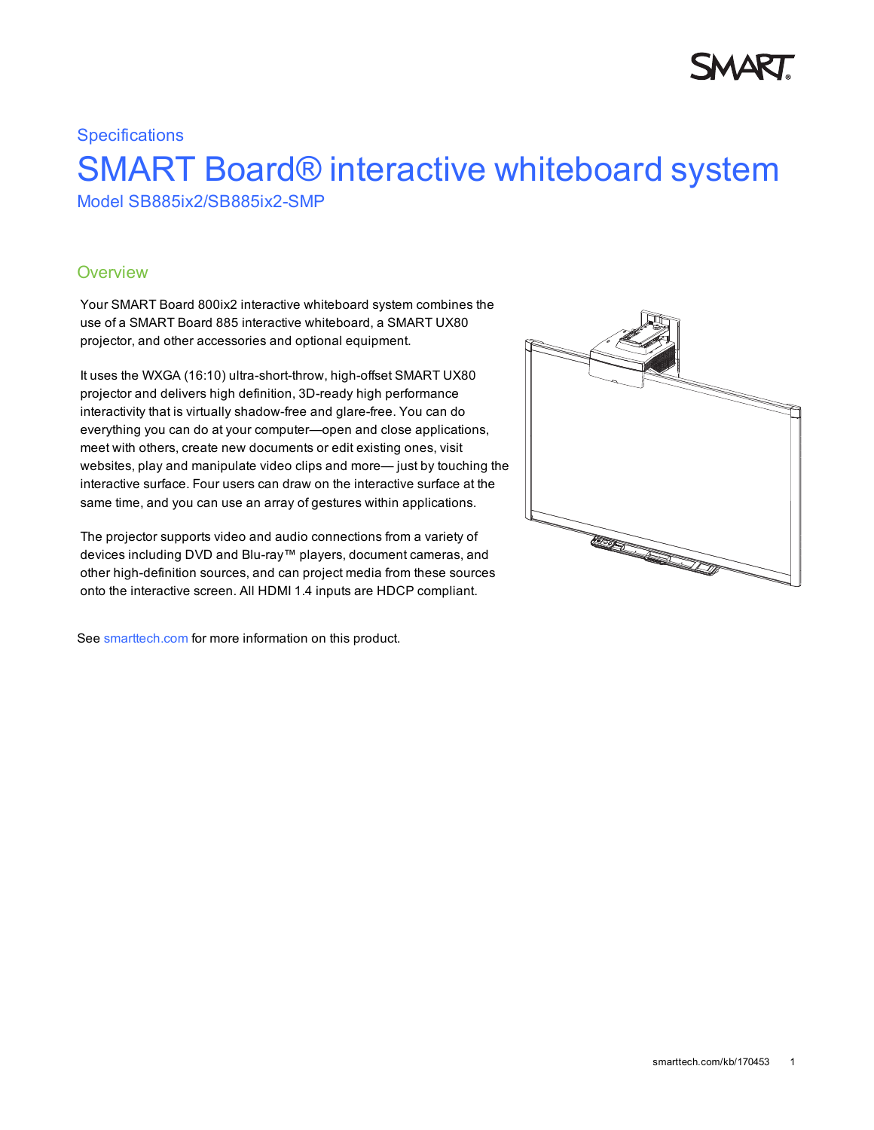## **Specifications** SMART Board® interactive whiteboard system Model SB885ix2/SB885ix2-SMP

### **Overview**

Your SMART Board 800ix2 interactive whiteboard system combines the use of a SMART Board 885 interactive whiteboard, a SMART UX80 projector, and other accessories and optional equipment.

It uses the WXGA (16:10) ultra-short-throw, high-offset SMART UX80 projector and delivers high definition, 3D-ready high performance interactivity that is virtually shadow-free and glare-free. You can do everything you can do at your computer—open and close applications, meet with others, create new documents or edit existing ones, visit websites, play and manipulate video clips and more— just by touching the interactive surface. Four users can draw on the interactive surface at the same time, and you can use an array of gestures within applications.

The projector supports video and audio connections from a variety of devices including DVD and Blu-ray™ players, document cameras, and other high-definition sources, and can project media from these sources onto the interactive screen. All HDMI 1.4 inputs are HDCP compliant.

See [smarttech.com](http://www.smarttech.com/Solutions/Visual+collaboration+solutions/Products/800+series+for+business) for more information on this product.

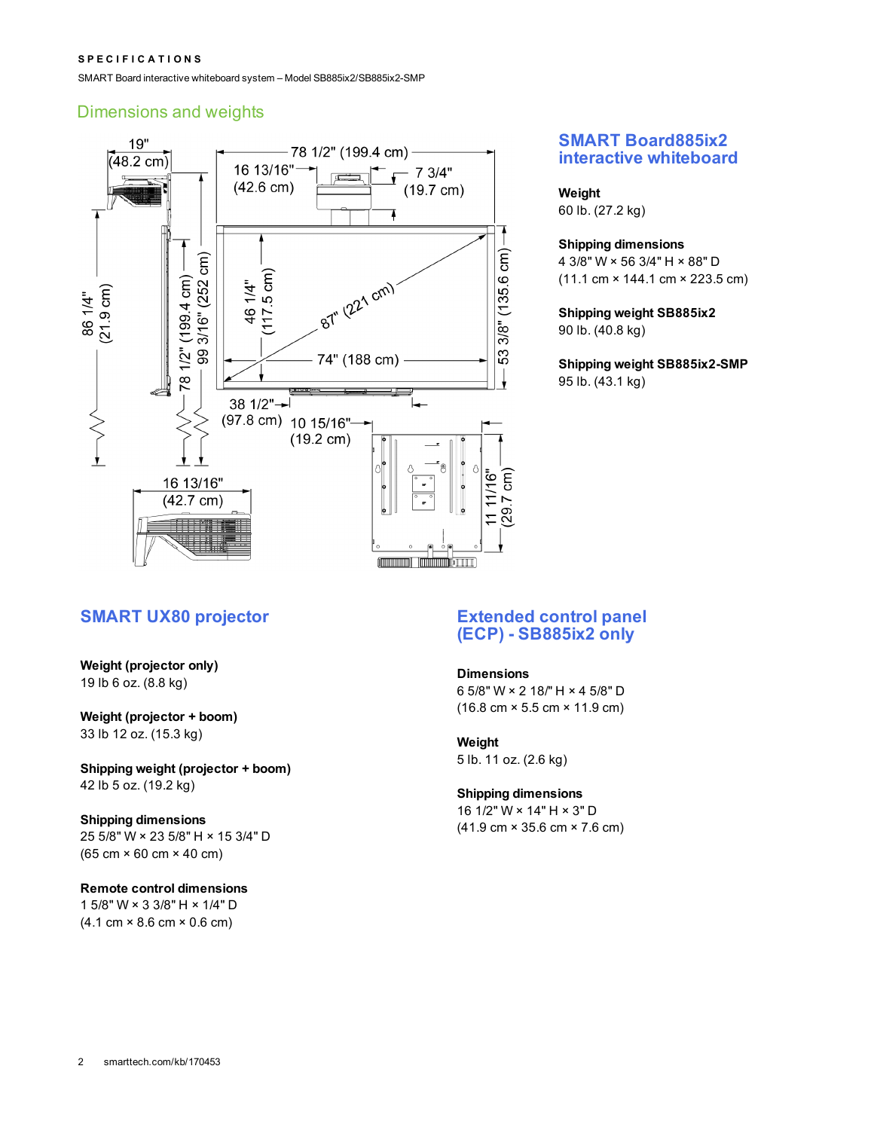#### **S P E C I F I C A T I O N S**

SMART Board interactive whiteboard system – Model SB885ix2/SB885ix2-SMP

### Dimensions and weights



### **SMART Board885ix2 interactive whiteboard**

#### **Weight**

60 lb. (27.2 kg)

### **Shipping dimensions**

4 3/8" W × 56 3/4" H × 88" D (11.1 cm × 144.1 cm × 223.5 cm)

**Shipping weight SB885ix2** 90 lb. (40.8 kg)

**Shipping weight SB885ix2-SMP** 95 lb. (43.1 kg)

### **SMART UX80 projector Extended control panel**

**Weight (projector only)** 19 lb 6 oz. (8.8 kg)

**Weight (projector + boom)** 33 lb 12 oz. (15.3 kg)

**Shipping weight (projector + boom)** 42 lb 5 oz. (19.2 kg)

#### **Shipping dimensions**

25 5/8" W × 23 5/8" H × 15 3/4" D (65 cm × 60 cm × 40 cm)

### **Remote control dimensions**

1 5/8" W × 3 3/8" H × 1/4" D (4.1 cm × 8.6 cm × 0.6 cm)

# **(ECP) - SB885ix2 only**

#### **Dimensions**

6 5/8" W × 2 18/" H × 4 5/8" D (16.8 cm × 5.5 cm × 11.9 cm)

#### **Weight** 5 lb. 11 oz. (2.6 kg)

### **Shipping dimensions**

16 1/2" W × 14" H × 3" D (41.9 cm × 35.6 cm × 7.6 cm)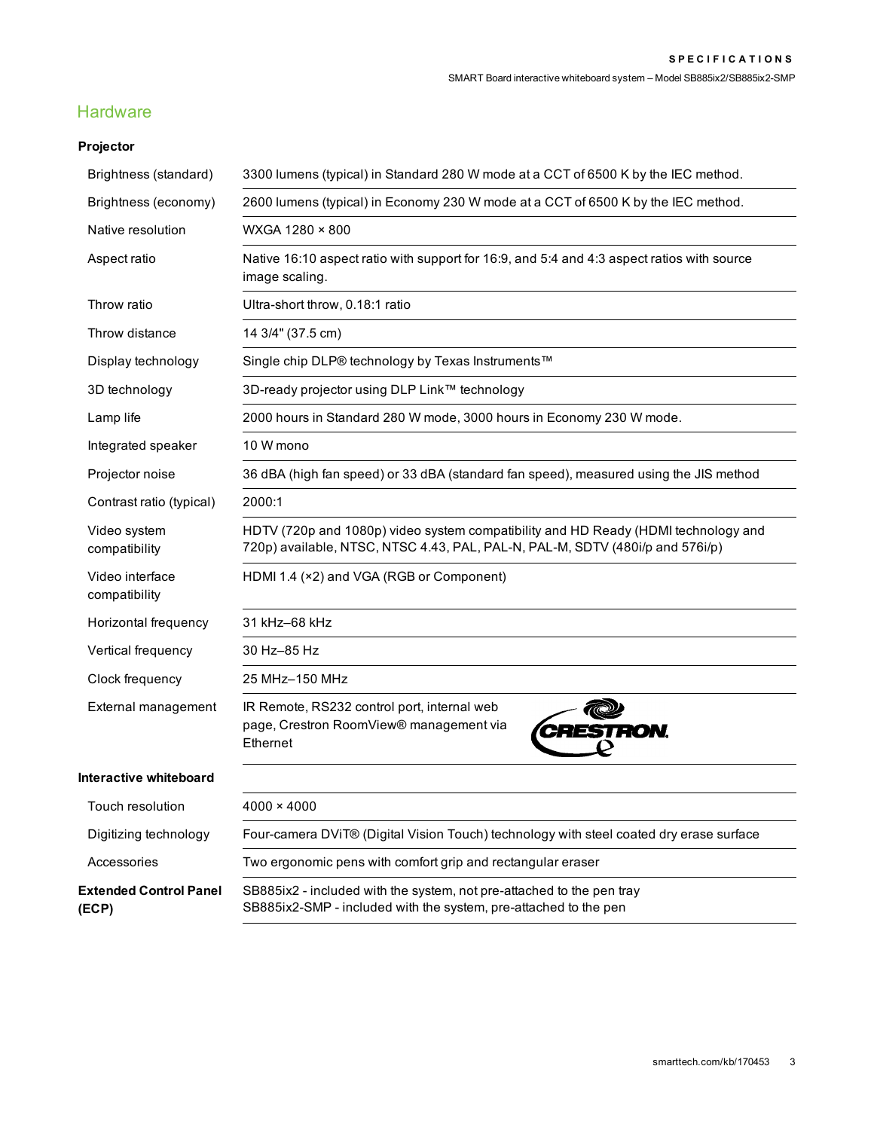### **Hardware**

### **Projector**

| Brightness (standard)                  | 3300 lumens (typical) in Standard 280 W mode at a CCT of 6500 K by the IEC method.                                                                                  |
|----------------------------------------|---------------------------------------------------------------------------------------------------------------------------------------------------------------------|
| Brightness (economy)                   | 2600 lumens (typical) in Economy 230 W mode at a CCT of 6500 K by the IEC method.                                                                                   |
| Native resolution                      | WXGA 1280 × 800                                                                                                                                                     |
| Aspect ratio                           | Native 16:10 aspect ratio with support for 16:9, and 5:4 and 4:3 aspect ratios with source<br>image scaling.                                                        |
| Throw ratio                            | Ultra-short throw, 0.18:1 ratio                                                                                                                                     |
| Throw distance                         | 14 3/4" (37.5 cm)                                                                                                                                                   |
| Display technology                     | Single chip DLP® technology by Texas Instruments™                                                                                                                   |
| 3D technology                          | 3D-ready projector using DLP Link™ technology                                                                                                                       |
| Lamp life                              | 2000 hours in Standard 280 W mode, 3000 hours in Economy 230 W mode.                                                                                                |
| Integrated speaker                     | 10 W mono                                                                                                                                                           |
| Projector noise                        | 36 dBA (high fan speed) or 33 dBA (standard fan speed), measured using the JIS method                                                                               |
| Contrast ratio (typical)               | 2000:1                                                                                                                                                              |
| Video system<br>compatibility          | HDTV (720p and 1080p) video system compatibility and HD Ready (HDMI technology and<br>720p) available, NTSC, NTSC 4.43, PAL, PAL-N, PAL-M, SDTV (480i/p and 576i/p) |
| Video interface<br>compatibility       | HDMI 1.4 (×2) and VGA (RGB or Component)                                                                                                                            |
| Horizontal frequency                   | 31 kHz-68 kHz                                                                                                                                                       |
| Vertical frequency                     | 30 Hz-85 Hz                                                                                                                                                         |
| Clock frequency                        | 25 MHz-150 MHz                                                                                                                                                      |
| External management                    | IR Remote, RS232 control port, internal web<br>page, Crestron RoomView® management via<br>RON.<br>Ethernet                                                          |
| Interactive whiteboard                 |                                                                                                                                                                     |
| Touch resolution                       | $4000 \times 4000$                                                                                                                                                  |
| Digitizing technology                  | Four-camera DViT® (Digital Vision Touch) technology with steel coated dry erase surface                                                                             |
| Accessories                            | Two ergonomic pens with comfort grip and rectangular eraser                                                                                                         |
| <b>Extended Control Panel</b><br>(ECP) | SB885ix2 - included with the system, not pre-attached to the pen tray<br>SB885ix2-SMP - included with the system, pre-attached to the pen                           |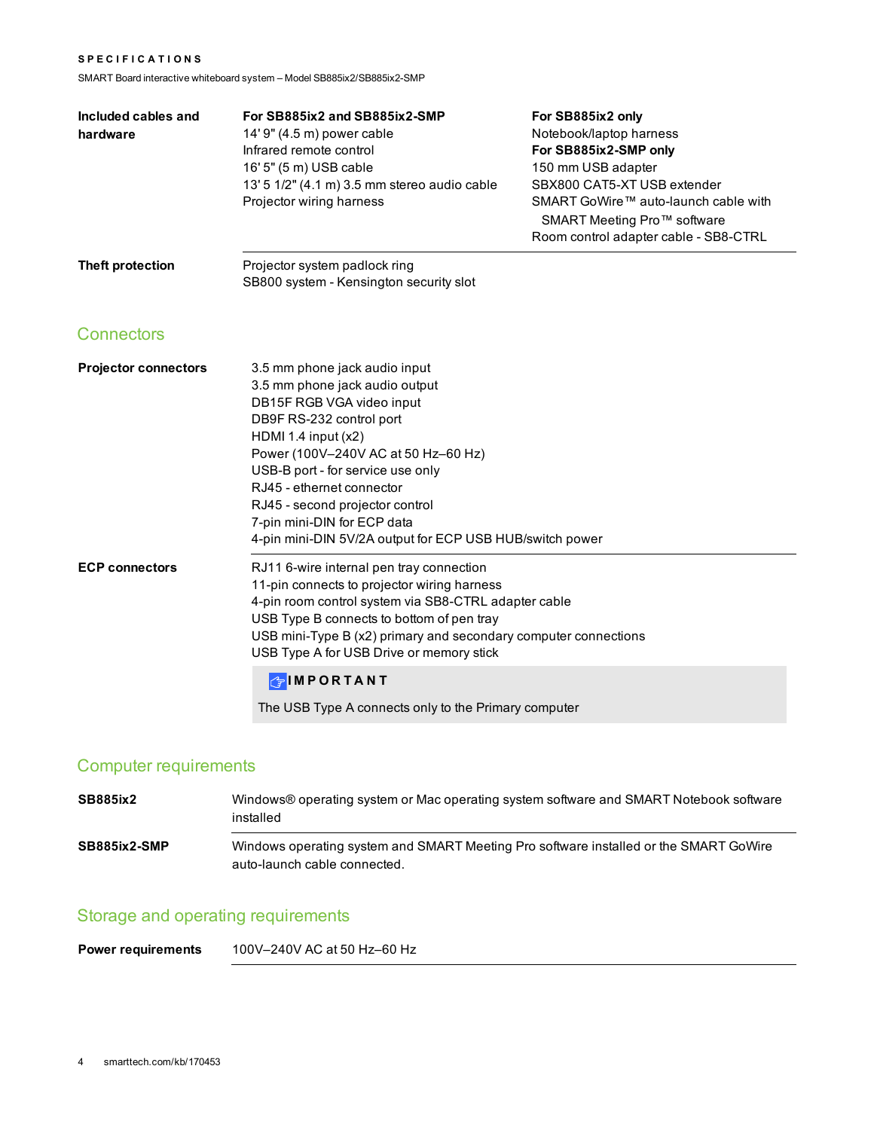#### **S P E C I F I C A T I O N S**

SMART Board interactive whiteboard system – Model SB885ix2/SB885ix2-SMP

| Included cables and<br>hardware | For SB885ix2 and SB885ix2-SMP<br>14' 9" (4.5 m) power cable<br>Infrared remote control<br>16' 5" (5 m) USB cable<br>13' 5 1/2" (4.1 m) 3.5 mm stereo audio cable<br>Projector wiring harness                                                                                                                                                                                             | For SB885ix2 only<br>Notebook/laptop harness<br>For SB885ix2-SMP only<br>150 mm USB adapter<br>SBX800 CAT5-XT USB extender<br>SMART GoWire™ auto-launch cable with<br>SMART Meeting Pro™ software<br>Room control adapter cable - SB8-CTRL |
|---------------------------------|------------------------------------------------------------------------------------------------------------------------------------------------------------------------------------------------------------------------------------------------------------------------------------------------------------------------------------------------------------------------------------------|--------------------------------------------------------------------------------------------------------------------------------------------------------------------------------------------------------------------------------------------|
| Theft protection                | Projector system padlock ring<br>SB800 system - Kensington security slot                                                                                                                                                                                                                                                                                                                 |                                                                                                                                                                                                                                            |
| <b>Connectors</b>               |                                                                                                                                                                                                                                                                                                                                                                                          |                                                                                                                                                                                                                                            |
| <b>Projector connectors</b>     | 3.5 mm phone jack audio input<br>3.5 mm phone jack audio output<br>DB15F RGB VGA video input<br>DB9F RS-232 control port<br>HDMI 1.4 input $(x2)$<br>Power (100V-240V AC at 50 Hz-60 Hz)<br>USB-B port - for service use only<br>RJ45 - ethernet connector<br>RJ45 - second projector control<br>7-pin mini-DIN for ECP data<br>4-pin mini-DIN 5V/2A output for ECP USB HUB/switch power |                                                                                                                                                                                                                                            |
| <b>ECP connectors</b>           | RJ11 6-wire internal pen tray connection<br>11-pin connects to projector wiring harness<br>4-pin room control system via SB8-CTRL adapter cable<br>USB Type B connects to bottom of pen tray<br>USB mini-Type B (x2) primary and secondary computer connections<br>USB Type A for USB Drive or memory stick                                                                              |                                                                                                                                                                                                                                            |
|                                 | <b>GIMPORTANT</b><br>The USB Type A connects only to the Primary computer                                                                                                                                                                                                                                                                                                                |                                                                                                                                                                                                                                            |

## Computer requirements

| <b>SB885ix2</b> | Windows® operating system or Mac operating system software and SMART Notebook software<br>installed                   |
|-----------------|-----------------------------------------------------------------------------------------------------------------------|
| SB885ix2-SMP    | Windows operating system and SMART Meeting Pro software installed or the SMART GoWire<br>auto-launch cable connected. |

## Storage and operating requirements

**Power requirements** 100V–240V AC at 50 Hz–60 Hz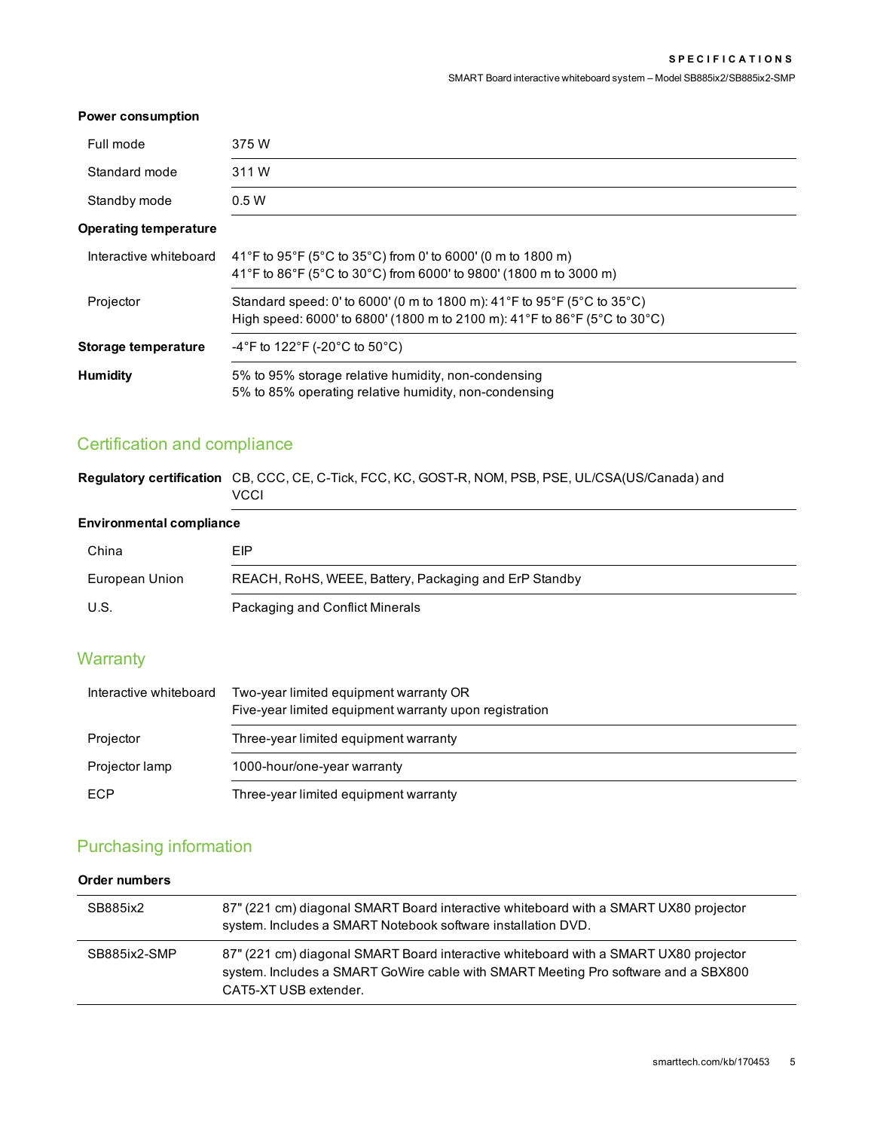#### **Power consumption**

| Full mode                    | 375 W                                                                                                                                                |
|------------------------------|------------------------------------------------------------------------------------------------------------------------------------------------------|
| Standard mode                | 311 W                                                                                                                                                |
| Standby mode                 | 0.5W                                                                                                                                                 |
| <b>Operating temperature</b> |                                                                                                                                                      |
| Interactive whiteboard       | 41°F to 95°F (5°C to 35°C) from 0' to 6000' (0 m to 1800 m)<br>41°F to 86°F (5°C to 30°C) from 6000' to 9800' (1800 m to 3000 m)                     |
| Projector                    | Standard speed: 0' to 6000' (0 m to 1800 m): 41°F to 95°F (5°C to 35°C)<br>High speed: 6000' to 6800' (1800 m to 2100 m): 41°F to 86°F (5°C to 30°C) |
| <b>Storage temperature</b>   | $-4^{\circ}$ F to 122 $^{\circ}$ F (-20 $^{\circ}$ C to 50 $^{\circ}$ C)                                                                             |
| <b>Humidity</b>              | 5% to 95% storage relative humidity, non-condensing<br>5% to 85% operating relative humidity, non-condensing                                         |

## Certification and compliance

| Regulatory certification CB, CCC, CE, C-Tick, FCC, KC, GOST-R, NOM, PSB, PSE, UL/CSA(US/Canada) and |
|-----------------------------------------------------------------------------------------------------|
| <b>VCCI</b>                                                                                         |

### **Environmental compliance**

| China          | EIP                                                   |
|----------------|-------------------------------------------------------|
| European Union | REACH, RoHS, WEEE, Battery, Packaging and ErP Standby |
| U.S.           | Packaging and Conflict Minerals                       |

### **Warranty**

| Interactive whiteboard | Two-year limited equipment warranty OR<br>Five-year limited equipment warranty upon registration |
|------------------------|--------------------------------------------------------------------------------------------------|
| Projector              | Three-year limited equipment warranty                                                            |
| Projector lamp         | 1000-hour/one-year warranty                                                                      |
| ECP                    | Three-year limited equipment warranty                                                            |

### Purchasing information

### **Order numbers**

| SB885ix2     | 87" (221 cm) diagonal SMART Board interactive whiteboard with a SMART UX80 projector<br>system. Includes a SMART Notebook software installation DVD.                                                |
|--------------|-----------------------------------------------------------------------------------------------------------------------------------------------------------------------------------------------------|
| SB885ix2-SMP | 87" (221 cm) diagonal SMART Board interactive whiteboard with a SMART UX80 projector<br>system. Includes a SMART GoWire cable with SMART Meeting Pro software and a SBX800<br>CAT5-XT USB extender. |